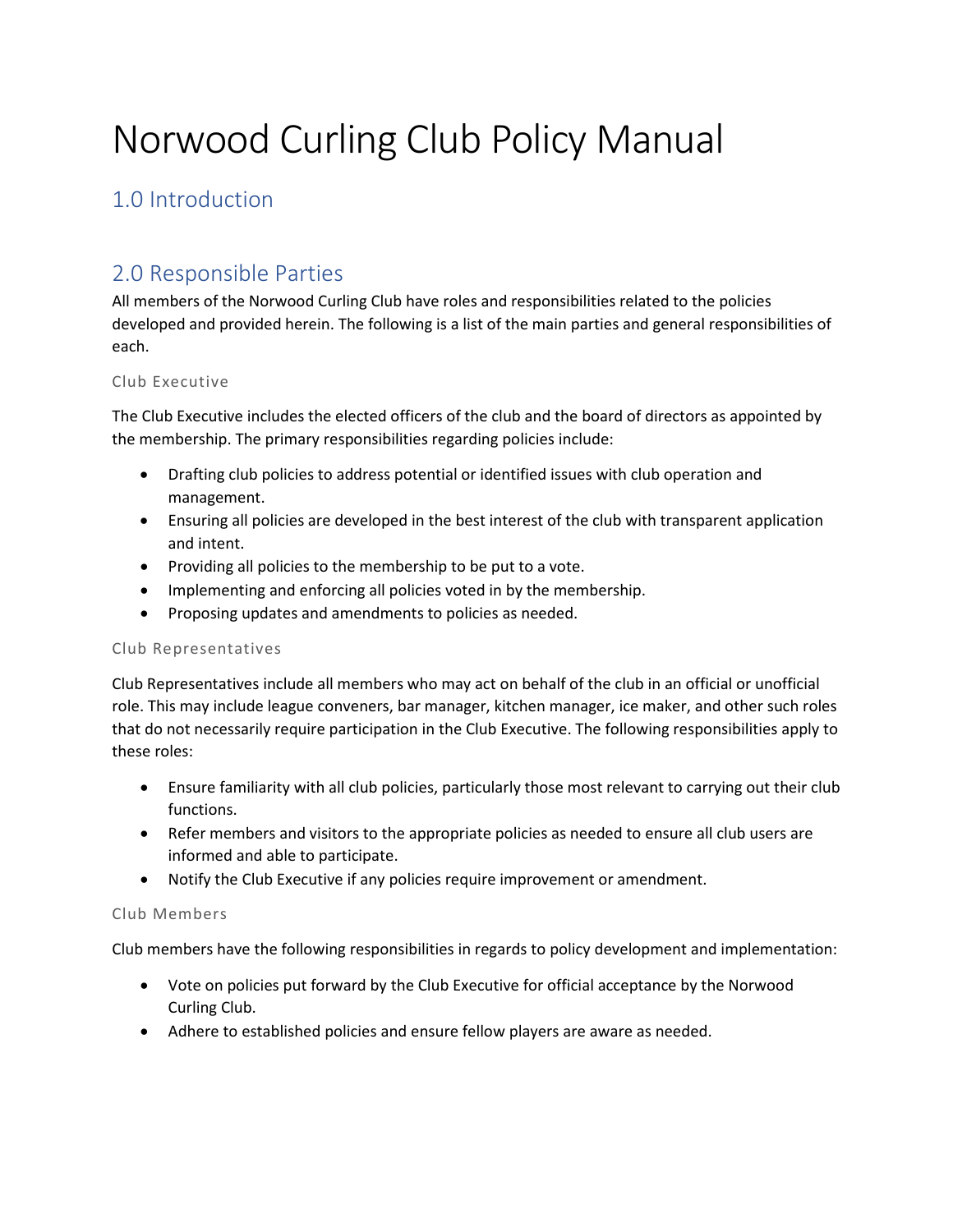# Norwood Curling Club Policy Manual

# 1.0 Introduction

# 2.0 Responsible Parties

All members of the Norwood Curling Club have roles and responsibilities related to the policies developed and provided herein. The following is a list of the main parties and general responsibilities of each.

#### Club Executive

The Club Executive includes the elected officers of the club and the board of directors as appointed by the membership. The primary responsibilities regarding policies include:

- Drafting club policies to address potential or identified issues with club operation and management.
- Ensuring all policies are developed in the best interest of the club with transparent application and intent.
- Providing all policies to the membership to be put to a vote.
- Implementing and enforcing all policies voted in by the membership.
- Proposing updates and amendments to policies as needed.

#### Club Representatives

Club Representatives include all members who may act on behalf of the club in an official or unofficial role. This may include league conveners, bar manager, kitchen manager, ice maker, and other such roles that do not necessarily require participation in the Club Executive. The following responsibilities apply to these roles:

- Ensure familiarity with all club policies, particularly those most relevant to carrying out their club functions.
- Refer members and visitors to the appropriate policies as needed to ensure all club users are informed and able to participate.
- Notify the Club Executive if any policies require improvement or amendment.

#### Club Members

Club members have the following responsibilities in regards to policy development and implementation:

- Vote on policies put forward by the Club Executive for official acceptance by the Norwood Curling Club.
- Adhere to established policies and ensure fellow players are aware as needed.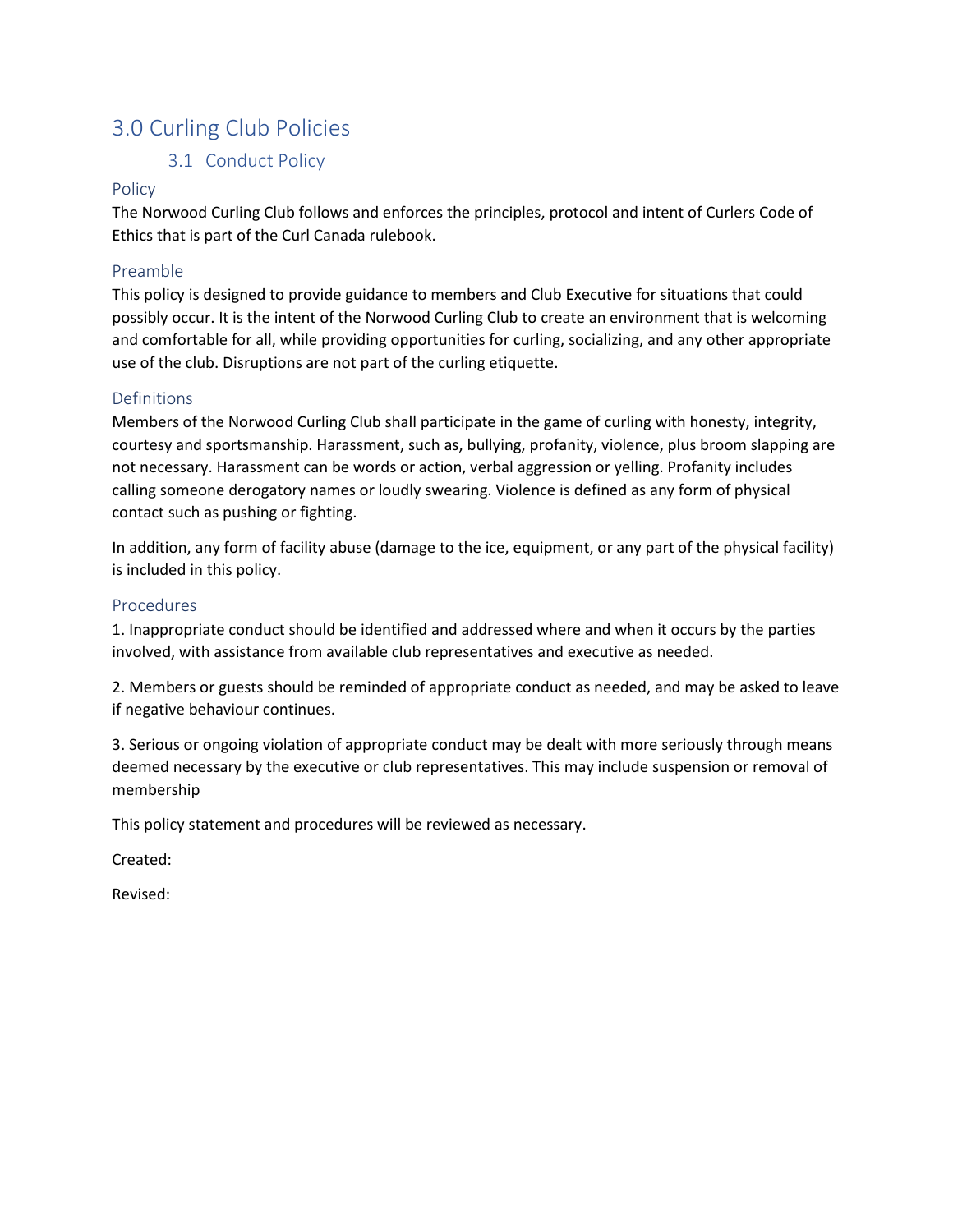# 3.0 Curling Club Policies

# 3.1 Conduct Policy

#### Policy

The Norwood Curling Club follows and enforces the principles, protocol and intent of Curlers Code of Ethics that is part of the Curl Canada rulebook.

### Preamble

This policy is designed to provide guidance to members and Club Executive for situations that could possibly occur. It is the intent of the Norwood Curling Club to create an environment that is welcoming and comfortable for all, while providing opportunities for curling, socializing, and any other appropriate use of the club. Disruptions are not part of the curling etiquette.

## Definitions

Members of the Norwood Curling Club shall participate in the game of curling with honesty, integrity, courtesy and sportsmanship. Harassment, such as, bullying, profanity, violence, plus broom slapping are not necessary. Harassment can be words or action, verbal aggression or yelling. Profanity includes calling someone derogatory names or loudly swearing. Violence is defined as any form of physical contact such as pushing or fighting.

In addition, any form of facility abuse (damage to the ice, equipment, or any part of the physical facility) is included in this policy.

#### Procedures

1. Inappropriate conduct should be identified and addressed where and when it occurs by the parties involved, with assistance from available club representatives and executive as needed.

2. Members or guests should be reminded of appropriate conduct as needed, and may be asked to leave if negative behaviour continues.

3. Serious or ongoing violation of appropriate conduct may be dealt with more seriously through means deemed necessary by the executive or club representatives. This may include suspension or removal of membership

This policy statement and procedures will be reviewed as necessary.

Created:

Revised: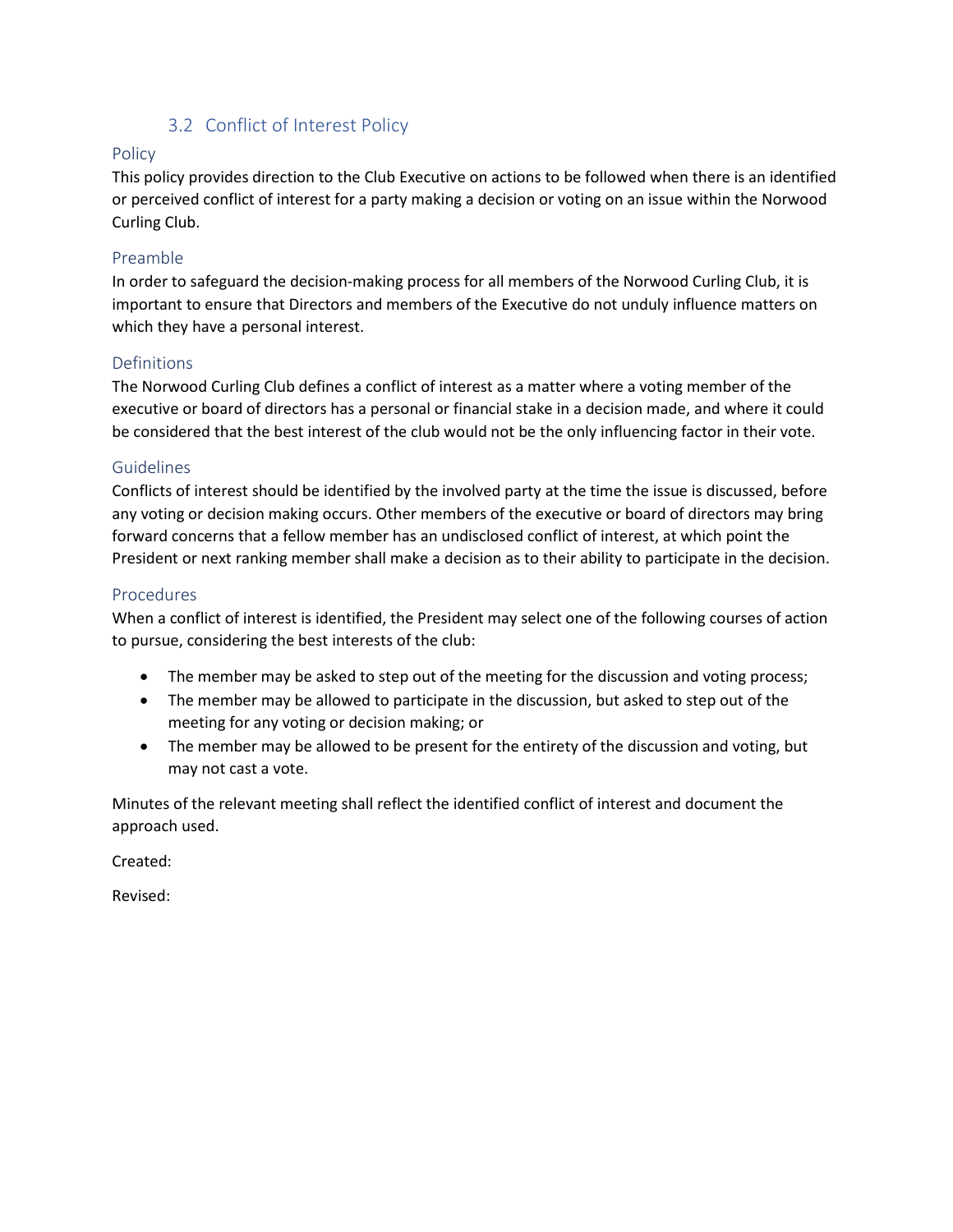## 3.2 Conflict of Interest Policy

#### Policy

This policy provides direction to the Club Executive on actions to be followed when there is an identified or perceived conflict of interest for a party making a decision or voting on an issue within the Norwood Curling Club.

#### Preamble

In order to safeguard the decision-making process for all members of the Norwood Curling Club, it is important to ensure that Directors and members of the Executive do not unduly influence matters on which they have a personal interest.

#### Definitions

The Norwood Curling Club defines a conflict of interest as a matter where a voting member of the executive or board of directors has a personal or financial stake in a decision made, and where it could be considered that the best interest of the club would not be the only influencing factor in their vote.

#### **Guidelines**

Conflicts of interest should be identified by the involved party at the time the issue is discussed, before any voting or decision making occurs. Other members of the executive or board of directors may bring forward concerns that a fellow member has an undisclosed conflict of interest, at which point the President or next ranking member shall make a decision as to their ability to participate in the decision.

#### Procedures

When a conflict of interest is identified, the President may select one of the following courses of action to pursue, considering the best interests of the club:

- The member may be asked to step out of the meeting for the discussion and voting process;
- The member may be allowed to participate in the discussion, but asked to step out of the meeting for any voting or decision making; or
- The member may be allowed to be present for the entirety of the discussion and voting, but may not cast a vote.

Minutes of the relevant meeting shall reflect the identified conflict of interest and document the approach used.

Created:

Revised: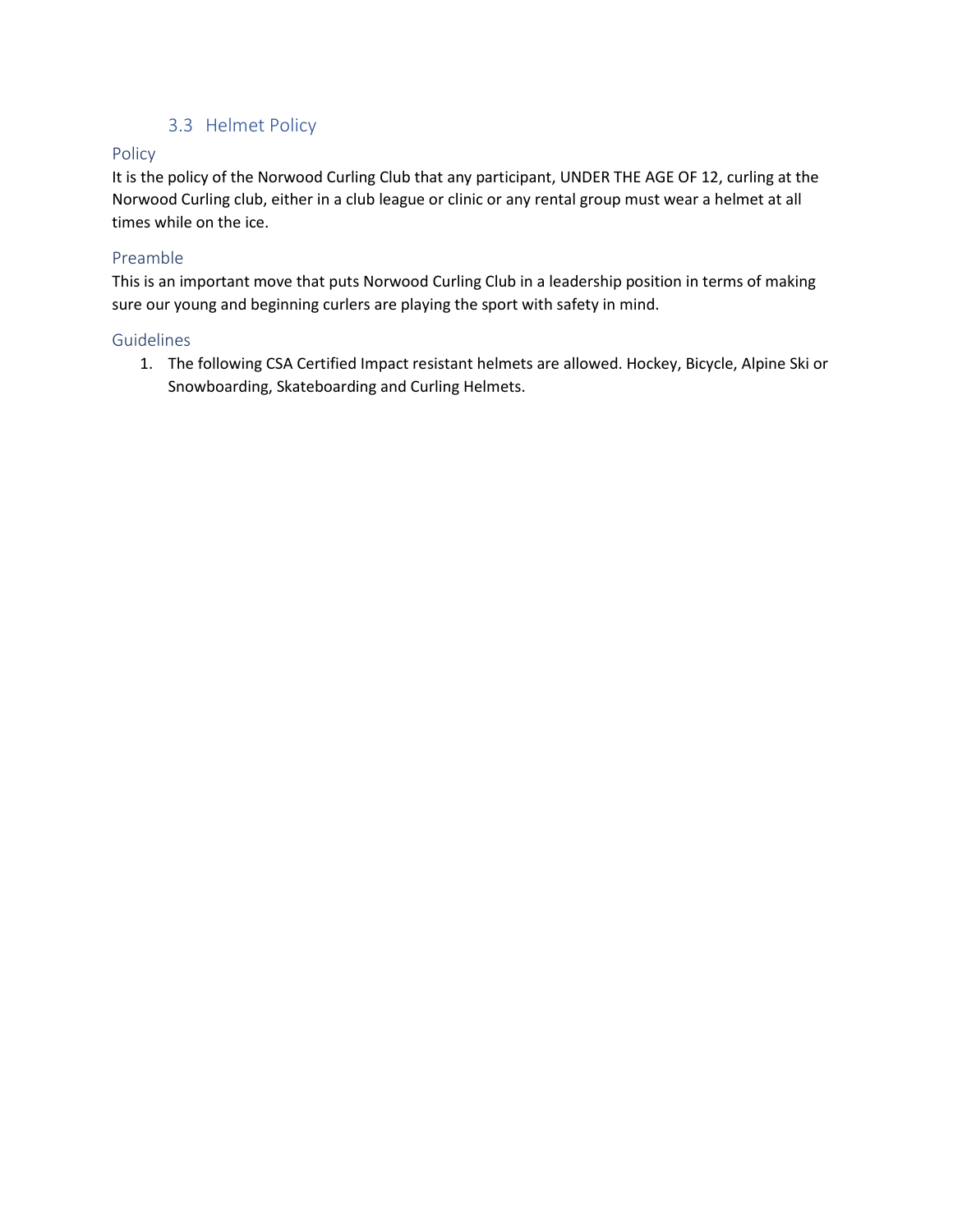# 3.3 Helmet Policy

### Policy

It is the policy of the Norwood Curling Club that any participant, UNDER THE AGE OF 12, curling at the Norwood Curling club, either in a club league or clinic or any rental group must wear a helmet at all times while on the ice.

#### Preamble

This is an important move that puts Norwood Curling Club in a leadership position in terms of making sure our young and beginning curlers are playing the sport with safety in mind.

#### Guidelines

1. The following CSA Certified Impact resistant helmets are allowed. Hockey, Bicycle, Alpine Ski or Snowboarding, Skateboarding and Curling Helmets.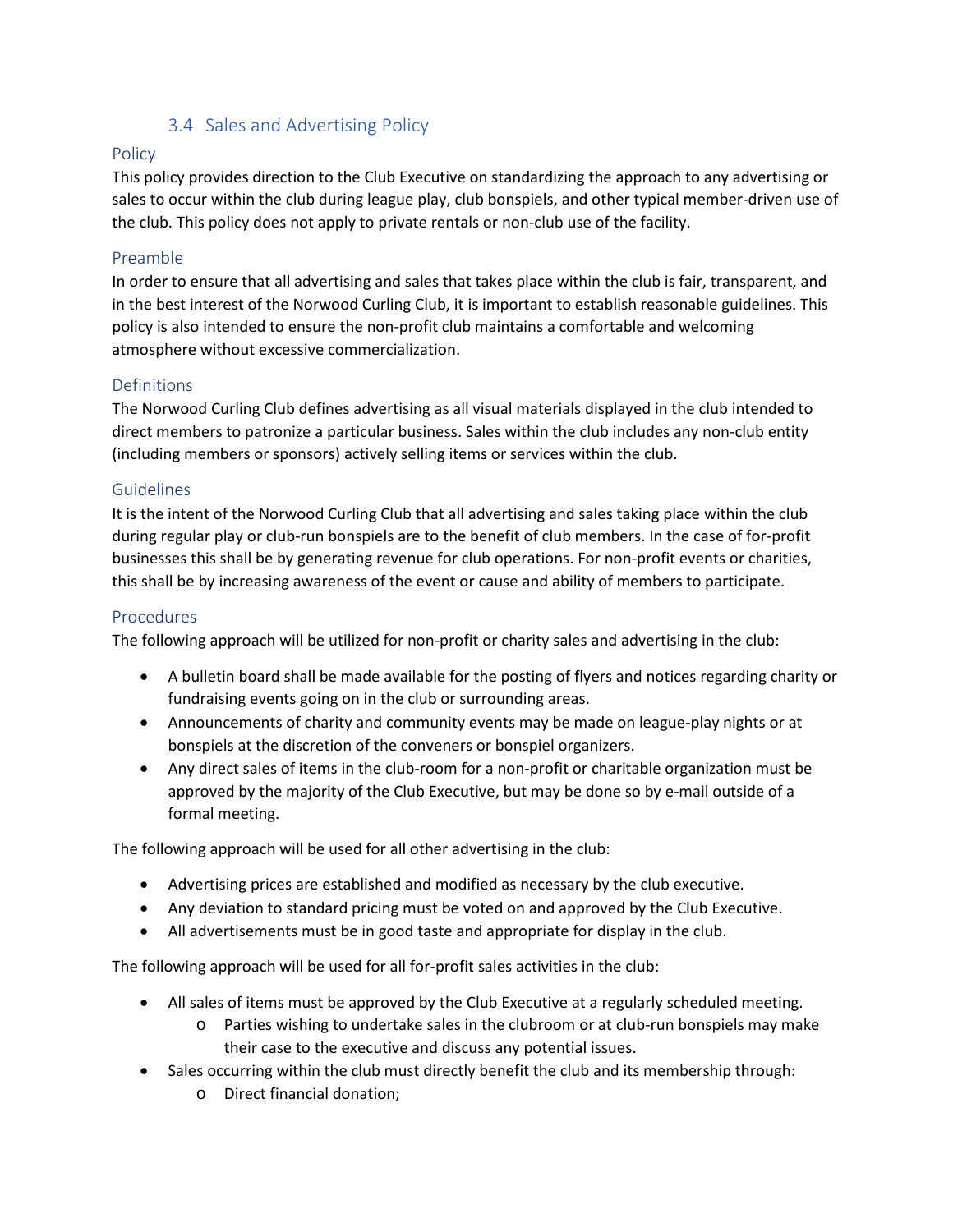## 3.4 Sales and Advertising Policy

## Policy

This policy provides direction to the Club Executive on standardizing the approach to any advertising or sales to occur within the club during league play, club bonspiels, and other typical member-driven use of the club. This policy does not apply to private rentals or non-club use of the facility.

#### Preamble

In order to ensure that all advertising and sales that takes place within the club is fair, transparent, and in the best interest of the Norwood Curling Club, it is important to establish reasonable guidelines. This policy is also intended to ensure the non-profit club maintains a comfortable and welcoming atmosphere without excessive commercialization.

#### Definitions

The Norwood Curling Club defines advertising as all visual materials displayed in the club intended to direct members to patronize a particular business. Sales within the club includes any non-club entity (including members or sponsors) actively selling items or services within the club.

#### **Guidelines**

It is the intent of the Norwood Curling Club that all advertising and sales taking place within the club during regular play or club-run bonspiels are to the benefit of club members. In the case of for-profit businesses this shall be by generating revenue for club operations. For non-profit events or charities, this shall be by increasing awareness of the event or cause and ability of members to participate.

#### Procedures

The following approach will be utilized for non-profit or charity sales and advertising in the club:

- A bulletin board shall be made available for the posting of flyers and notices regarding charity or fundraising events going on in the club or surrounding areas.
- Announcements of charity and community events may be made on league-play nights or at bonspiels at the discretion of the conveners or bonspiel organizers.
- Any direct sales of items in the club-room for a non-profit or charitable organization must be approved by the majority of the Club Executive, but may be done so by e-mail outside of a formal meeting.

The following approach will be used for all other advertising in the club:

- Advertising prices are established and modified as necessary by the club executive.
- Any deviation to standard pricing must be voted on and approved by the Club Executive.
- All advertisements must be in good taste and appropriate for display in the club.

The following approach will be used for all for-profit sales activities in the club:

- All sales of items must be approved by the Club Executive at a regularly scheduled meeting.
	- o Parties wishing to undertake sales in the clubroom or at club-run bonspiels may make their case to the executive and discuss any potential issues.
- Sales occurring within the club must directly benefit the club and its membership through:
	- o Direct financial donation;